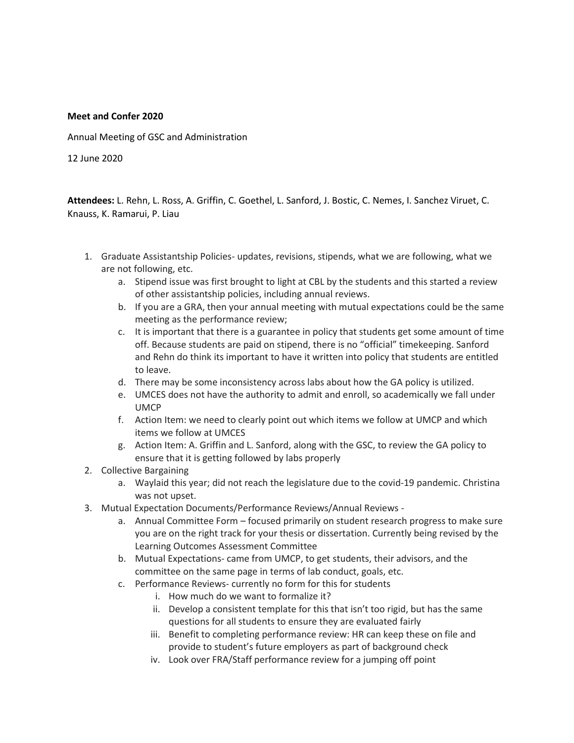## **Meet and Confer 2020**

Annual Meeting of GSC and Administration

12 June 2020

**Attendees:** L. Rehn, L. Ross, A. Griffin, C. Goethel, L. Sanford, J. Bostic, C. Nemes, I. Sanchez Viruet, C. Knauss, K. Ramarui, P. Liau

- 1. Graduate Assistantship Policies- updates, revisions, stipends, what we are following, what we are not following, etc.
	- a. Stipend issue was first brought to light at CBL by the students and this started a review of other assistantship policies, including annual reviews.
	- b. If you are a GRA, then your annual meeting with mutual expectations could be the same meeting as the performance review;
	- c. It is important that there is a guarantee in policy that students get some amount of time off. Because students are paid on stipend, there is no "official" timekeeping. Sanford and Rehn do think its important to have it written into policy that students are entitled to leave.
	- d. There may be some inconsistency across labs about how the GA policy is utilized.
	- e. UMCES does not have the authority to admit and enroll, so academically we fall under UMCP
	- f. Action Item: we need to clearly point out which items we follow at UMCP and which items we follow at UMCES
	- g. Action Item: A. Griffin and L. Sanford, along with the GSC, to review the GA policy to ensure that it is getting followed by labs properly
- 2. Collective Bargaining
	- a. Waylaid this year; did not reach the legislature due to the covid-19 pandemic. Christina was not upset.
- 3. Mutual Expectation Documents/Performance Reviews/Annual Reviews
	- a. Annual Committee Form focused primarily on student research progress to make sure you are on the right track for your thesis or dissertation. Currently being revised by the Learning Outcomes Assessment Committee
	- b. Mutual Expectations- came from UMCP, to get students, their advisors, and the committee on the same page in terms of lab conduct, goals, etc.
	- c. Performance Reviews- currently no form for this for students
		- i. How much do we want to formalize it?
		- ii. Develop a consistent template for this that isn't too rigid, but has the same questions for all students to ensure they are evaluated fairly
		- iii. Benefit to completing performance review: HR can keep these on file and provide to student's future employers as part of background check
		- iv. Look over FRA/Staff performance review for a jumping off point